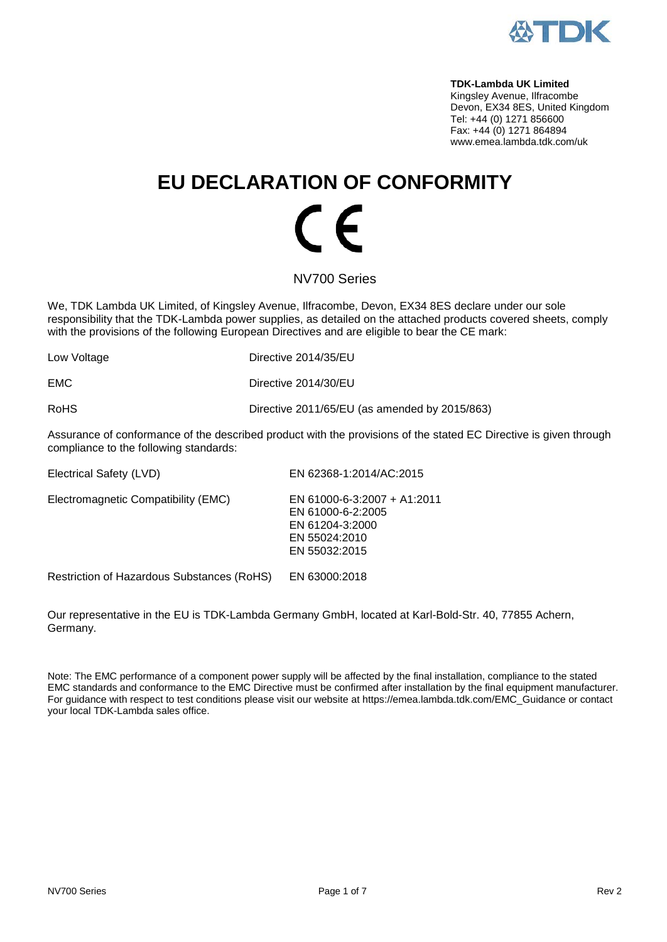

**TDK-Lambda UK Limited**  Kingsley Avenue, Ilfracombe Devon, EX34 8ES, United Kingdom Tel: +44 (0) 1271 856600 Fax: +44 (0) 1271 864894 www.emea.lambda.tdk.com/uk

# **EU DECLARATION OF CONFORMITY**  $\overline{\phantom{a}}$

NV700 Series

We, TDK Lambda UK Limited, of Kingsley Avenue, Ilfracombe, Devon, EX34 8ES declare under our sole responsibility that the TDK-Lambda power supplies, as detailed on the attached products covered sheets, comply with the provisions of the following European Directives and are eligible to bear the CE mark:

| Directive 2014/35/EU                          |
|-----------------------------------------------|
| Directive 2014/30/EU                          |
| Directive 2011/65/EU (as amended by 2015/863) |
|                                               |

Assurance of conformance of the described product with the provisions of the stated EC Directive is given through compliance to the following standards:

| Electromagnetic Compatibility (EMC)<br>EN 61000-6-2:2005<br>EN 61204-3:2000<br>EN 55024:2010 | Electrical Safety (LVD) | EN 62368-1:2014/AC:2015                      |
|----------------------------------------------------------------------------------------------|-------------------------|----------------------------------------------|
|                                                                                              |                         | EN 61000-6-3:2007 + A1:2011<br>EN 55032:2015 |

Restriction of Hazardous Substances (RoHS) EN 63000:2018

Our representative in the EU is TDK-Lambda Germany GmbH, located at Karl-Bold-Str. 40, 77855 Achern, Germany.

Note: The EMC performance of a component power supply will be affected by the final installation, compliance to the stated EMC standards and conformance to the EMC Directive must be confirmed after installation by the final equipment manufacturer. For guidance with respect to test conditions please visit our website at https://emea.lambda.tdk.com/EMC\_Guidance or contact your local TDK-Lambda sales office.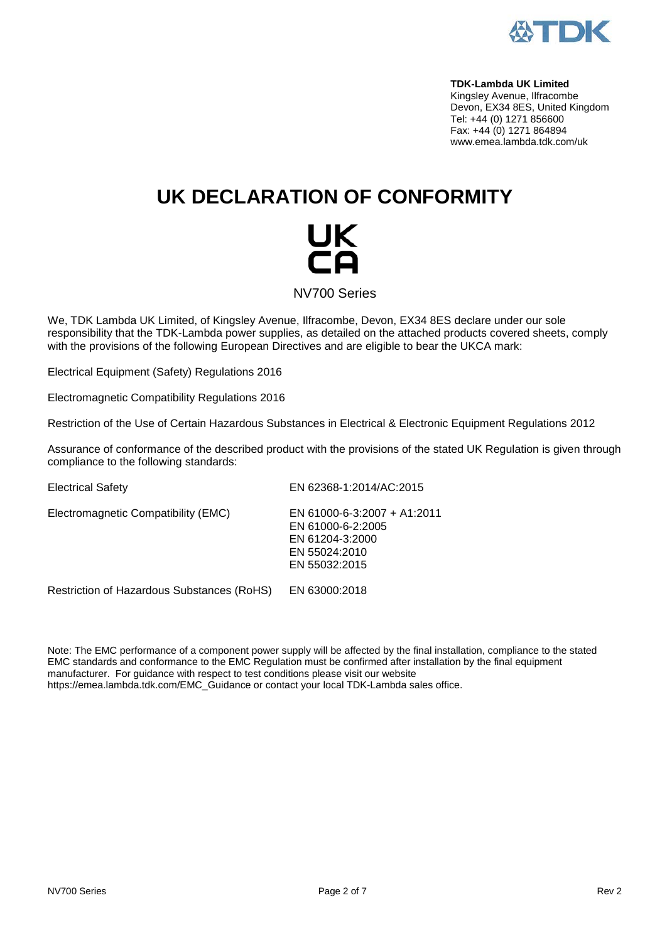

**TDK-Lambda UK Limited**  Kingsley Avenue, Ilfracombe Devon, EX34 8ES, United Kingdom Tel: +44 (0) 1271 856600 Fax: +44 (0) 1271 864894 www.emea.lambda.tdk.com/uk

# **UK DECLARATION OF CONFORMITY**

# UK

NV700 Series

We, TDK Lambda UK Limited, of Kingsley Avenue, Ilfracombe, Devon, EX34 8ES declare under our sole responsibility that the TDK-Lambda power supplies, as detailed on the attached products covered sheets, comply with the provisions of the following European Directives and are eligible to bear the UKCA mark:

Electrical Equipment (Safety) Regulations 2016

Electromagnetic Compatibility Regulations 2016

Restriction of the Use of Certain Hazardous Substances in Electrical & Electronic Equipment Regulations 2012

Assurance of conformance of the described product with the provisions of the stated UK Regulation is given through compliance to the following standards:

Electrical Safety EN 62368-1:2014/AC:2015 Electromagnetic Compatibility (EMC) EN 61000-6-3:2007 + A1:2011 EN 61000-6-2:2005 EN 61204-3:2000 EN 55024:2010 EN 55032:2015 Restriction of Hazardous Substances (RoHS) EN 63000:2018

Note: The EMC performance of a component power supply will be affected by the final installation, compliance to the stated EMC standards and conformance to the EMC Regulation must be confirmed after installation by the final equipment manufacturer. For guidance with respect to test conditions please visit our website [https://emea.lambda.tdk.com/EMC\\_Guidance](https://emea.lambda.tdk.com/EMC_Guidance) or contact your local TDK-Lambda sales office.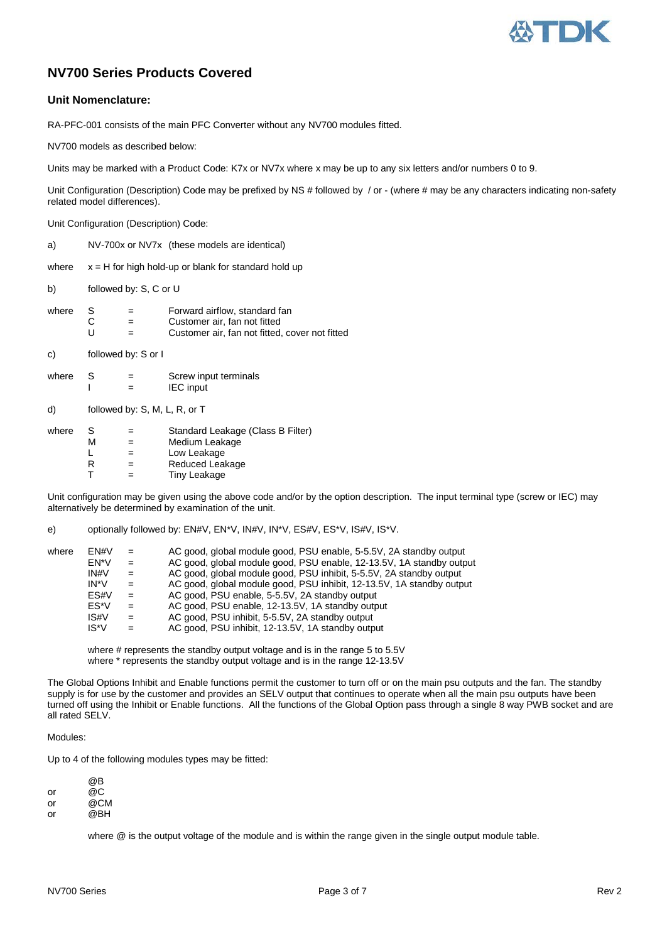

### **NV700 Series Products Covered**

#### **Unit Nomenclature:**

RA-PFC-001 consists of the main PFC Converter without any NV700 modules fitted.

NV700 models as described below:

Units may be marked with a Product Code: K7x or NV7x where x may be up to any six letters and/or numbers 0 to 9.

Unit Configuration (Description) Code may be prefixed by NS # followed by / or - (where # may be any characters indicating non-safety related model differences).

Unit Configuration (Description) Code:

a) NV-700x or NV7x (these models are identical)

where  $x = H$  for high hold-up or blank for standard hold up

b) followed by: S, C or U

| where | - S | $=$ | Forward airflow, standard fan                  |
|-------|-----|-----|------------------------------------------------|
|       | С   | $=$ | Customer air, fan not fitted                   |
|       |     | $=$ | Customer air, fan not fitted, cover not fitted |

c) followed by: S or I

| where | -S | -<br>- | Screw input terminals |
|-------|----|--------|-----------------------|
|       |    |        | <b>IEC</b> input      |

| d) | followed by: S, M, L, R, or T |  |
|----|-------------------------------|--|
|    |                               |  |

| S | $=$ | Standard Leakage (Class B Filter) |
|---|-----|-----------------------------------|
| м | $=$ | Medium Leakage                    |
|   | $=$ | Low Leakage                       |
| R | $=$ | Reduced Leakage                   |
|   | $=$ | Tiny Leakage                      |
|   |     |                                   |

Unit configuration may be given using the above code and/or by the option description. The input terminal type (screw or IEC) may alternatively be determined by examination of the unit.

e) optionally followed by: EN#V, EN\*V, IN#V, IN\*V, ES#V, ES\*V, IS#V, IS\*V.

| where | FN#V | $=$ | AC good, global module good, PSU enable, 5-5.5V, 2A standby output    |
|-------|------|-----|-----------------------------------------------------------------------|
|       | EN*V | $=$ | AC good, global module good, PSU enable, 12-13.5V, 1A standby output  |
|       | IN#V | $=$ | AC good, global module good, PSU inhibit, 5-5.5V, 2A standby output   |
|       | IN*V | $=$ | AC good, global module good, PSU inhibit, 12-13.5V, 1A standby output |
|       | ES#V | $=$ | AC good, PSU enable, 5-5.5V, 2A standby output                        |
|       | ES*V | $=$ | AC good, PSU enable, 12-13.5V, 1A standby output                      |
|       | IS#V | $=$ | AC good, PSU inhibit, 5-5.5V, 2A standby output                       |
|       | IS*V | $=$ | AC good, PSU inhibit, 12-13.5V, 1A standby output                     |
|       |      |     |                                                                       |

where # represents the standby output voltage and is in the range 5 to 5.5V where \* represents the standby output voltage and is in the range 12-13.5V

The Global Options Inhibit and Enable functions permit the customer to turn off or on the main psu outputs and the fan. The standby supply is for use by the customer and provides an SELV output that continues to operate when all the main psu outputs have been turned off using the Inhibit or Enable functions. All the functions of the Global Option pass through a single 8 way PWB socket and are all rated SELV.

#### Modules:

Up to 4 of the following modules types may be fitted:

|    | @Β                               |
|----|----------------------------------|
| or | @C                               |
| -- | $\bigcirc$ $\bigcirc$ $\bigcirc$ |

or @CM<br>or @BH @BH

where @ is the output voltage of the module and is within the range given in the single output module table.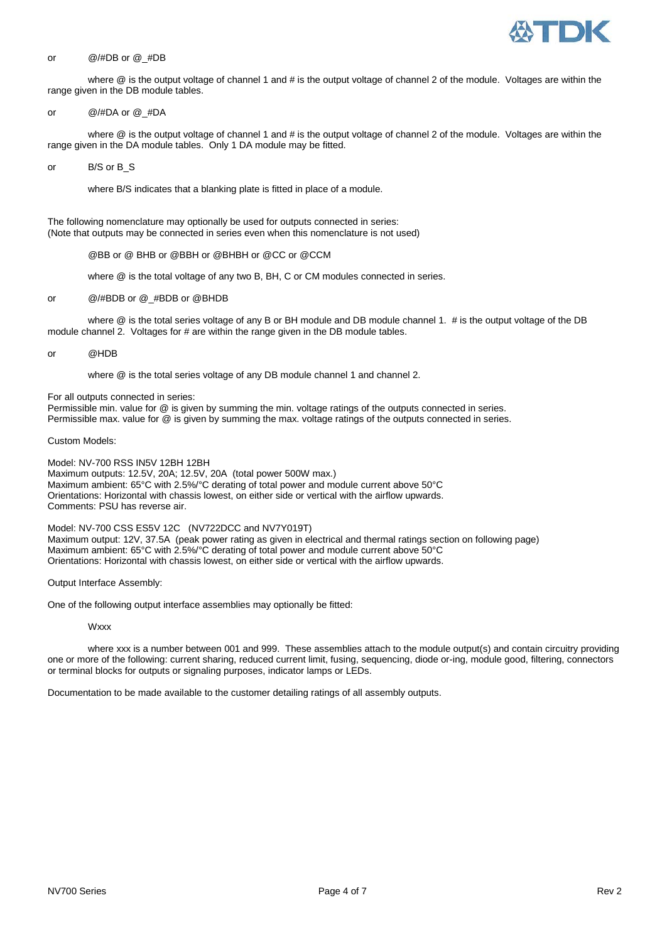

#### or @/#DB or @\_#DB

where @ is the output voltage of channel 1 and # is the output voltage of channel 2 of the module. Voltages are within the range given in the DB module tables.

#### or @/#DA or @\_#DA

where  $@$  is the output voltage of channel 1 and  $#$  is the output voltage of channel 2 of the module. Voltages are within the range given in the DA module tables. Only 1 DA module may be fitted.

#### or B/S or B\_S

where B/S indicates that a blanking plate is fitted in place of a module.

The following nomenclature may optionally be used for outputs connected in series: (Note that outputs may be connected in series even when this nomenclature is not used)

@BB or @ BHB or @BBH or @BHBH or @CC or @CCM

where @ is the total voltage of any two B, BH, C or CM modules connected in series.

#### or @/#BDB or @\_#BDB or @BHDB

where @ is the total series voltage of any B or BH module and DB module channel 1. # is the output voltage of the DB module channel 2. Voltages for # are within the range given in the DB module tables.

#### or @HDB

where @ is the total series voltage of any DB module channel 1 and channel 2.

For all outputs connected in series:

Permissible min. value for @ is given by summing the min. voltage ratings of the outputs connected in series. Permissible max. value for @ is given by summing the max. voltage ratings of the outputs connected in series.

Custom Models:

Model: NV-700 RSS IN5V 12BH 12BH Maximum outputs: 12.5V, 20A; 12.5V, 20A (total power 500W max.) Maximum ambient: 65°C with 2.5%/°C derating of total power and module current above 50°C Orientations: Horizontal with chassis lowest, on either side or vertical with the airflow upwards. Comments: PSU has reverse air.

Model: NV-700 CSS ES5V 12C (NV722DCC and NV7Y019T) Maximum output: 12V, 37.5A (peak power rating as given in electrical and thermal ratings section on following page) Maximum ambient: 65°C with 2.5%/°C derating of total power and module current above 50°C Orientations: Horizontal with chassis lowest, on either side or vertical with the airflow upwards.

#### Output Interface Assembly:

One of the following output interface assemblies may optionally be fitted:

**Wxxx** 

where xxx is a number between 001 and 999. These assemblies attach to the module output(s) and contain circuitry providing one or more of the following: current sharing, reduced current limit, fusing, sequencing, diode or-ing, module good, filtering, connectors or terminal blocks for outputs or signaling purposes, indicator lamps or LEDs.

Documentation to be made available to the customer detailing ratings of all assembly outputs.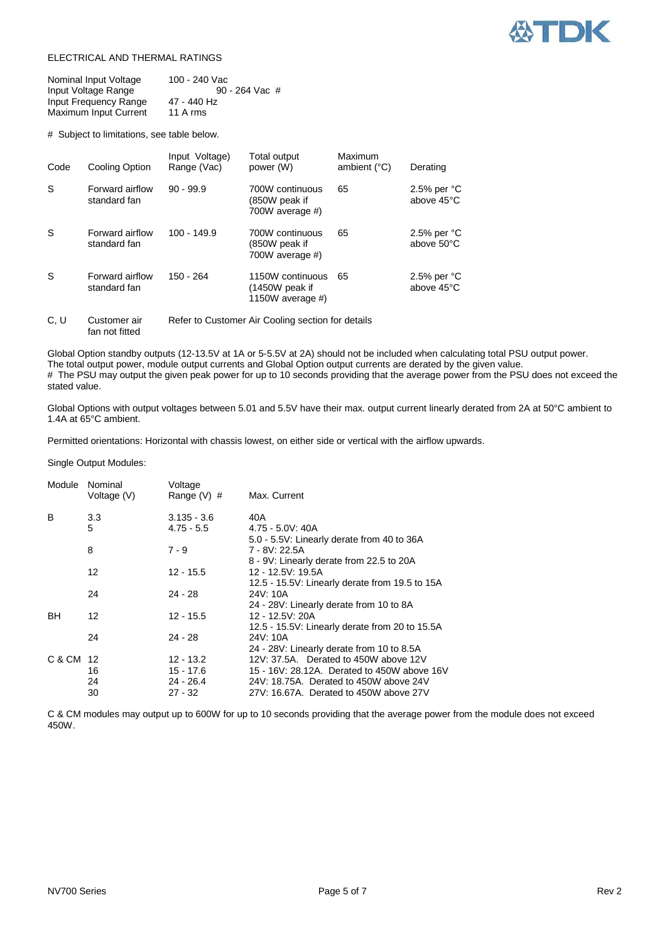

#### ELECTRICAL AND THERMAL RATINGS

| Nominal Input Voltage | 100 - 240 Vac  |
|-----------------------|----------------|
| Input Voltage Range   | 90 - 264 Vac # |
| Input Frequency Range | 47 - 440 Hz    |
| Maximum Input Current | 11 A rms       |

# Subject to limitations, see table below.

| Code | Cooling Option                  | Input Voltage)<br>Range (Vac) | Total output<br>power (W)                              | Maximum<br>ambient $(^{\circ}C)$ | Derating                    |
|------|---------------------------------|-------------------------------|--------------------------------------------------------|----------------------------------|-----------------------------|
| S    | Forward airflow<br>standard fan | $90 - 99.9$                   | 700W continuous<br>(850W peak if<br>700W average #)    | 65                               | 2.5% per $°C$<br>above 45°C |
| S    | Forward airflow<br>standard fan | $100 - 149.9$                 | 700W continuous<br>(850W peak if<br>700W average #)    | 65                               | 2.5% per $°C$<br>above 50°C |
| S    | Forward airflow<br>standard fan | 150 - 264                     | 1150W continuous<br>(1450W peak if<br>1150W average #) | 65                               | 2.5% per $°C$<br>above 45°C |
|      | $\sim$ $\sim$ $\sim$ $\sim$     |                               |                                                        |                                  |                             |

C, U Customer air Refer to Customer Air Cooling section for details fan not fitted

Global Option standby outputs (12-13.5V at 1A or 5-5.5V at 2A) should not be included when calculating total PSU output power. The total output power, module output currents and Global Option output currents are derated by the given value. # The PSU may output the given peak power for up to 10 seconds providing that the average power from the PSU does not exceed the stated value.

Global Options with output voltages between 5.01 and 5.5V have their max. output current linearly derated from 2A at 50°C ambient to 1.4A at 65°C ambient.

Permitted orientations: Horizontal with chassis lowest, on either side or vertical with the airflow upwards.

Single Output Modules:

| Module    | Nominal<br>Voltage (V) | Voltage<br>Range $(V)$ # | Max. Current                                   |
|-----------|------------------------|--------------------------|------------------------------------------------|
| B         | 3.3 <sub>2</sub>       | $3.135 - 3.6$            | 40A                                            |
|           | 5                      | $4.75 - 5.5$             | $4.75 - 5.0V$ : 40A                            |
|           |                        |                          | 5.0 - 5.5V: Linearly derate from 40 to 36A     |
|           | 8                      | $7 - 9$                  | 7 - 8V: 22.5A                                  |
|           |                        |                          | 8 - 9V: Linearly derate from 22.5 to 20A       |
|           | 12                     | $12 - 15.5$              | 12 - 12.5V: 19.5A                              |
|           |                        |                          | 12.5 - 15.5V: Linearly derate from 19.5 to 15A |
|           | 24                     | $24 - 28$                | 24V: 10A                                       |
|           |                        |                          | 24 - 28V: Linearly derate from 10 to 8A        |
| <b>BH</b> | 12                     | $12 - 15.5$              | 12 - 12.5V: 20A                                |
|           |                        |                          | 12.5 - 15.5V: Linearly derate from 20 to 15.5A |
|           | 24                     | $24 - 28$                | 24V: 10A                                       |
|           |                        |                          | 24 - 28V: Linearly derate from 10 to 8.5A      |
| C & CM 12 |                        | $12 - 13.2$              | 12V: 37.5A. Derated to 450W above 12V          |
|           | 16                     | 15 - 17.6                | 15 - 16V: 28.12A. Derated to 450W above 16V    |
|           | 24                     | $24 - 26.4$              | 24V: 18.75A. Derated to 450W above 24V         |
|           | 30                     | $27 - 32$                | 27V: 16.67A. Derated to 450W above 27V         |

C & CM modules may output up to 600W for up to 10 seconds providing that the average power from the module does not exceed 450W.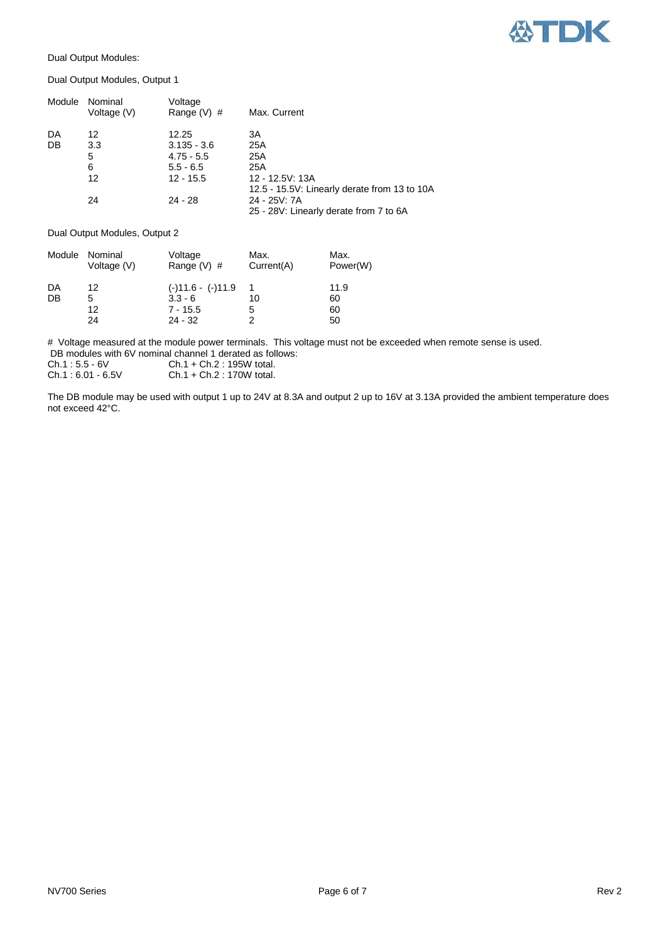

Dual Output Modules:

Dual Output Modules, Output 1

| Module | Nominal<br>Voltage (V) | Voltage<br>Range $(V)$ # | Max. Current                                 |
|--------|------------------------|--------------------------|----------------------------------------------|
| DA     | 12                     | 12.25                    | ЗA                                           |
| DB     | 3.3                    | $3.135 - 3.6$            | 25A                                          |
|        | 5                      | $4.75 - 5.5$             | 25A                                          |
|        | 6                      | $5.5 - 6.5$              | 25A                                          |
|        | 12                     | $12 - 15.5$              | 12 - 12.5V: 13A                              |
|        |                        |                          | 12.5 - 15.5V: Linearly derate from 13 to 10A |
|        | 24                     | $24 - 28$                | 24 - 25V: 7A                                 |
|        |                        |                          | 25 - 28V: Linearly derate from 7 to 6A       |

#### Dual Output Modules, Output 2

| Module | Nominal<br>Voltage (V) | Voltage<br>Range $(V)$ # | Max.<br>Current(A) | Max.<br>Power(W) |
|--------|------------------------|--------------------------|--------------------|------------------|
| DA     | 12                     | $(-)11.6 - (-)11.9$      |                    | 11.9             |
| DB     | 5                      | $3.3 - 6$                | 10                 | 60               |
|        | 12                     | $7 - 15.5$               | 5                  | 60               |
|        | 24                     | $24 - 32$                | 2                  | 50               |

# Voltage measured at the module power terminals. This voltage must not be exceeded when remote sense is used. DB modules with 6V nominal channel 1 derated as follows:

| Ch.1 : 5.5 - 6V                                                            | $Ch.1 + Ch.2 : 195W$ total.                         |
|----------------------------------------------------------------------------|-----------------------------------------------------|
| $\bigcap_{n=1}^{\infty}$ $\bigcap_{n=1}^{\infty}$ $\bigcap_{n=1}^{\infty}$ | $C_{h}$ $A$ $C_{h}$ $A$ $A$ $B$ $C_{h}$ $A$ $C_{h}$ |

Ch.1 : 6.01 - 6.5V Ch.1 + Ch.2 : 170W total.

The DB module may be used with output 1 up to 24V at 8.3A and output 2 up to 16V at 3.13A provided the ambient temperature does not exceed 42°C.